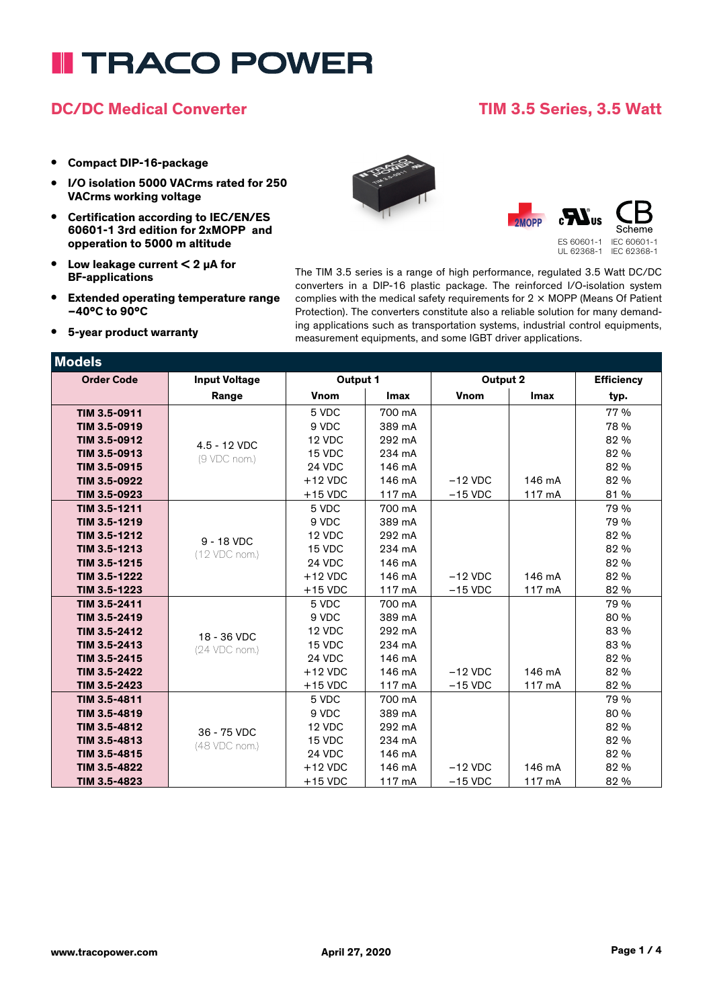# **I TRACO POWER**

### **DC/DC Medical Converter TIM 3.5 Series, 3.5 Watt**

- **• Compact DIP-16-package**
- **• I/O isolation 5000 VACrms rated for 250 VACrms working voltage**
- **• Certification according to IEC/EN/ES 60601-1 3rd edition for 2xMOPP and opperation to 5000 m altitude**
- **• Low leakage current < 2 µA for BF-applications**
- **• Extended operating temperature range –40°C to 90°C**
- **• 5-year product warranty**





UL 62368-1 IEC 62368-1

The TIM 3.5 series is a range of high performance, regulated 3.5 Watt DC/DC converters in a DIP-16 plastic package. The reinforced I/O-isolation system complies with the medical safety requirements for  $2 \times \text{MOPP}$  (Means Of Patient Protection). The converters constitute also a reliable solution for many demanding applications such as transportation systems, industrial control equipments, measurement equipments, and some IGBT driver applications.

| <b>Models</b>     |                      |             |             |             |             |                   |
|-------------------|----------------------|-------------|-------------|-------------|-------------|-------------------|
| <b>Order Code</b> | <b>Input Voltage</b> | Output 1    |             | Output 2    |             | <b>Efficiency</b> |
|                   | Range                | <b>Vnom</b> | <b>Imax</b> | <b>Vnom</b> | <b>Imax</b> | typ.              |
| TIM 3.5-0911      |                      | 5 VDC       | 700 mA      |             |             | 77 %              |
| TIM 3.5-0919      |                      | 9 VDC       | 389 mA      |             |             | 78 %              |
| TIM 3.5-0912      | 4.5 - 12 VDC         | 12 VDC      | 292 mA      |             |             | 82 %              |
| TIM 3.5-0913      | (9 VDC nom.)         | 15 VDC      | 234 mA      |             |             | 82 %              |
| TIM 3.5-0915      |                      | 24 VDC      | 146 mA      |             |             | 82 %              |
| TIM 3.5-0922      |                      | $+12$ VDC   | 146 mA      | $-12$ VDC   | 146 mA      | 82 %              |
| TIM 3.5-0923      |                      | $+15$ VDC   | 117 mA      | $-15$ VDC   | 117 mA      | 81 %              |
| TIM 3.5-1211      |                      | 5 VDC       | 700 mA      |             |             | 79 %              |
| TIM 3.5-1219      |                      | 9 VDC       | 389 mA      |             |             | 79 %              |
| TIM 3.5-1212      | 9 - 18 VDC           | 12 VDC      | 292 mA      |             |             | 82 %              |
| TIM 3.5-1213      | (12 VDC nom.)        | 15 VDC      | 234 mA      |             |             | 82 %              |
| TIM 3.5-1215      |                      | 24 VDC      | 146 mA      |             |             | 82 %              |
| TIM 3.5-1222      |                      | $+12$ VDC   | 146 mA      | $-12$ VDC   | 146 mA      | 82 %              |
| TIM 3.5-1223      |                      | $+15$ VDC   | 117 mA      | $-15$ VDC   | 117 mA      | 82 %              |
| TIM 3.5-2411      |                      | 5 VDC       | 700 mA      |             |             | 79 %              |
| TIM 3.5-2419      |                      | 9 VDC       | 389 mA      |             |             | 80 %              |
| TIM 3.5-2412      | 18 - 36 VDC          | 12 VDC      | 292 mA      |             |             | 83 %              |
| TIM 3.5-2413      | (24 VDC nom.)        | 15 VDC      | 234 mA      |             |             | 83 %              |
| TIM 3.5-2415      |                      | 24 VDC      | 146 mA      |             |             | 82 %              |
| TIM 3.5-2422      |                      | $+12$ VDC   | 146 mA      | $-12$ VDC   | 146 mA      | 82 %              |
| TIM 3.5-2423      |                      | $+15$ VDC   | 117 mA      | $-15$ VDC   | 117 mA      | 82 %              |
| TIM 3.5-4811      |                      | 5 VDC       | 700 mA      |             |             | 79 %              |
| TIM 3.5-4819      |                      | 9 VDC       | 389 mA      |             |             | 80 %              |
| TIM 3.5-4812      | 36 - 75 VDC          | 12 VDC      | 292 mA      |             |             | 82 %              |
| TIM 3.5-4813      | (48 VDC nom.)        | 15 VDC      | 234 mA      |             |             | 82 %              |
| TIM 3.5-4815      |                      | 24 VDC      | 146 mA      |             |             | 82 %              |
| TIM 3.5-4822      |                      | $+12$ VDC   | 146 mA      | $-12$ VDC   | 146 mA      | 82 %              |
| TIM 3.5-4823      |                      | $+15$ VDC   | 117 mA      | $-15$ VDC   | 117 mA      | 82 %              |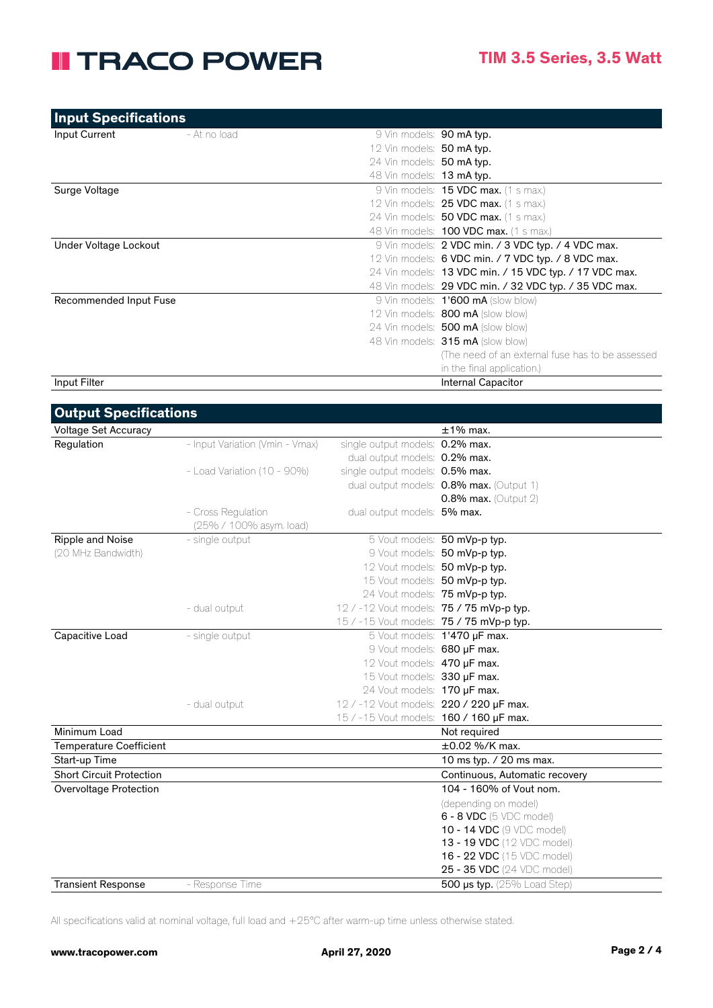## **II TRACO POWER**

| <b>Input Specifications</b> |              |                           |                                                        |
|-----------------------------|--------------|---------------------------|--------------------------------------------------------|
| Input Current               | - At no load | 9 Vin models: 90 mA typ.  |                                                        |
|                             |              | 12 Vin models: 50 mA typ. |                                                        |
|                             |              | 24 Vin models: 50 mA typ. |                                                        |
|                             |              | 48 Vin models: 13 mA typ. |                                                        |
| Surge Voltage               |              |                           | $9$ Vin models: <b>15 VDC max.</b> (1 s max.)          |
|                             |              |                           | 12 Vin models: 25 VDC max. (1 s max.)                  |
|                             |              |                           | 24 Vin models: <b>50 VDC max.</b> (1 s max.)           |
|                             |              |                           | 48 Vin models: <b>100 VDC max.</b> (1 s max.)          |
| Under Voltage Lockout       |              |                           | 9 Vin models: 2 VDC min. / 3 VDC typ. / 4 VDC max.     |
|                             |              |                           | 12 Vin models: 6 VDC min. / 7 VDC typ. / 8 VDC max.    |
|                             |              |                           | 24 Vin models: 13 VDC min. / 15 VDC typ. / 17 VDC max. |
|                             |              |                           | 48 Vin models: 29 VDC min. / 32 VDC typ. / 35 VDC max. |
| Recommended Input Fuse      |              |                           | 9 Vin models: <b>1'600 mA</b> (slow blow)              |
|                             |              |                           | 12 Vin models: <b>800 mA</b> (slow blow)               |
|                             |              |                           | 24 Vin models: 500 mA (slow blow)                      |
|                             |              |                           | 48 Vin models: 315 mA (slow blow)                      |
|                             |              |                           | (The need of an external fuse has to be assessed       |
|                             |              |                           | in the final application.)                             |
| Input Filter                |              |                           | <b>Internal Capacitor</b>                              |

| <b>Output Specifications</b>    |                                 |                                          |                                          |
|---------------------------------|---------------------------------|------------------------------------------|------------------------------------------|
| <b>Voltage Set Accuracy</b>     |                                 |                                          | $±1\%$ max.                              |
| Regulation                      | - Input Variation (Vmin - Vmax) | single output models: 0.2% max.          |                                          |
|                                 |                                 | dual output models: 0.2% max.            |                                          |
|                                 | - Load Variation (10 - 90%)     | single output models: 0.5% max.          |                                          |
|                                 |                                 |                                          | dual output models: 0.8% max. (Output 1) |
|                                 |                                 |                                          | <b>0.8% max.</b> (Output 2)              |
|                                 | - Cross Regulation              | dual output models: 5% max.              |                                          |
|                                 | (25% / 100% asym. load)         |                                          |                                          |
| Ripple and Noise                | - single output                 |                                          | 5 Vout models: 50 mVp-p typ.             |
| (20 MHz Bandwidth)              |                                 |                                          | 9 Vout models: 50 mVp-p typ.             |
|                                 |                                 | 12 Vout models: 50 mVp-p typ.            |                                          |
|                                 |                                 | 15 Vout models: 50 mVp-p typ.            |                                          |
|                                 |                                 | 24 Vout models: 75 mVp-p typ.            |                                          |
|                                 | - dual output                   | 12 / -12 Vout models: 75 / 75 mVp-p typ. |                                          |
|                                 |                                 | 15 / -15 Vout models: 75 / 75 mVp-p typ. |                                          |
| Capacitive Load                 | - single output                 |                                          | 5 Vout models: 1'470 µF max.             |
|                                 |                                 | 9 Vout models: 680 µF max.               |                                          |
|                                 |                                 | 12 Vout models: 470 µF max.              |                                          |
|                                 |                                 | 15 Vout models: 330 µF max.              |                                          |
|                                 |                                 | 24 Vout models: 170 µF max.              |                                          |
|                                 | - dual output                   | 12 / -12 Vout models: 220 / 220 µF max.  |                                          |
|                                 |                                 | 15 / -15 Vout models: 160 / 160 µF max.  |                                          |
| Minimum Load                    |                                 |                                          | Not required                             |
| <b>Temperature Coefficient</b>  |                                 |                                          | ±0.02 %/K max.                           |
| Start-up Time                   |                                 |                                          | 10 ms typ. / 20 ms max.                  |
| <b>Short Circuit Protection</b> |                                 |                                          | Continuous, Automatic recovery           |
| Overvoltage Protection          |                                 |                                          | 104 - 160% of Vout nom.                  |
|                                 |                                 |                                          | (depending on model)                     |
|                                 |                                 |                                          | 6 - 8 VDC (5 VDC model)                  |
|                                 |                                 |                                          | 10 - 14 VDC (9 VDC model)                |
|                                 |                                 |                                          | 13 - 19 VDC (12 VDC model)               |
|                                 |                                 |                                          | 16 - 22 VDC (15 VDC model)               |
|                                 |                                 |                                          | 25 - 35 VDC (24 VDC model)               |
| <b>Transient Response</b>       | - Response Time                 |                                          | 500 $\mu$ s typ. (25% Load Step)         |

All specifications valid at nominal voltage, full load and +25°C after warm-up time unless otherwise stated.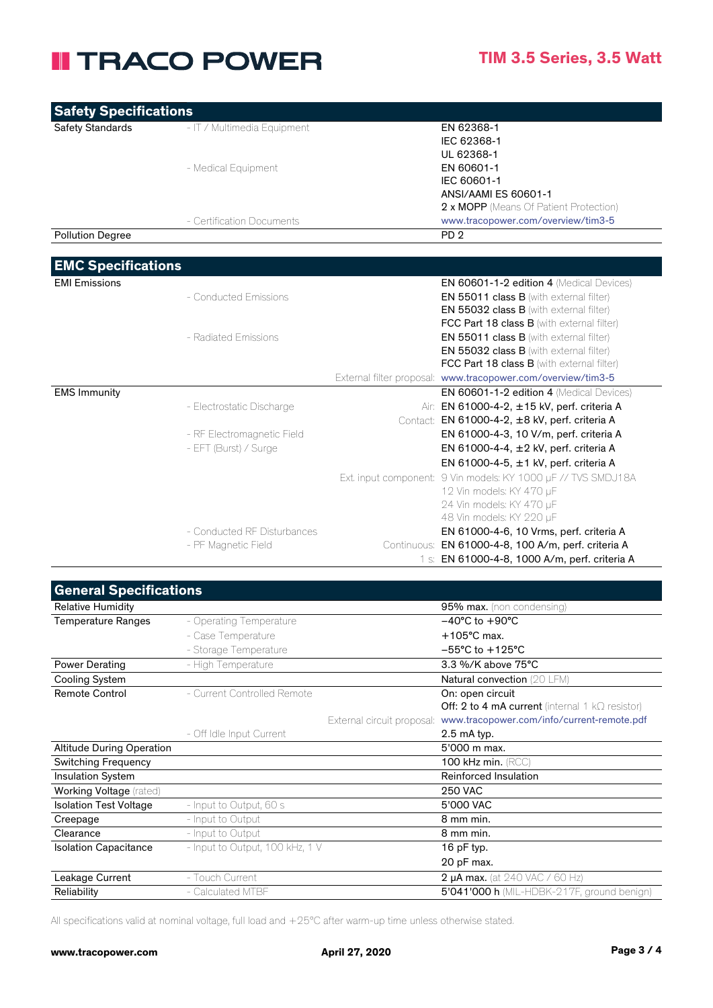## **II TRACO POWER**

| <b>Safety Specifications</b> |                             |                                                                                              |
|------------------------------|-----------------------------|----------------------------------------------------------------------------------------------|
| <b>Safety Standards</b>      | - IT / Multimedia Equipment | EN 62368-1                                                                                   |
|                              |                             | IEC 62368-1                                                                                  |
|                              |                             | UL 62368-1                                                                                   |
|                              | - Medical Equipment         | EN 60601-1                                                                                   |
|                              |                             | IEC 60601-1                                                                                  |
|                              |                             | ANSI/AAMI ES 60601-1                                                                         |
|                              |                             | 2 x MOPP (Means Of Patient Protection)                                                       |
|                              | - Certification Documents   | www.tracopower.com/overview/tim3-5                                                           |
| <b>Pollution Degree</b>      |                             | PD <sub>2</sub>                                                                              |
|                              |                             |                                                                                              |
| <b>EMC Specifications</b>    |                             |                                                                                              |
| <b>EMI Emissions</b>         |                             | <b>EN 60601-1-2 edition 4 (Medical Devices)</b>                                              |
|                              | - Conducted Emissions       | EN 55011 class B (with external filter)                                                      |
|                              |                             | <b>EN 55032 class B</b> (with external filter)                                               |
|                              |                             | FCC Part 18 class B (with external filter)                                                   |
|                              | - Radiated Emissions        | <b>EN 55011 class B</b> (with external filter)                                               |
|                              |                             | <b>EN 55032 class B</b> (with external filter)<br>FCC Part 18 class B (with external filter) |
|                              |                             | External filter proposal: www.tracopower.com/overview/tim3-5                                 |
| <b>EMS Immunity</b>          |                             | EN 60601-1-2 edition 4 (Medical Devices)                                                     |
|                              | - Electrostatic Discharge   | Air: EN 61000-4-2, ±15 kV, perf. criteria A                                                  |
|                              |                             | Contact: EN 61000-4-2, ±8 kV, perf. criteria A                                               |
|                              | - RF Electromagnetic Field  | EN 61000-4-3, 10 V/m, perf. criteria A                                                       |
|                              | - EFT (Burst) / Surge       | EN 61000-4-4, ±2 kV, perf. criteria A                                                        |
|                              |                             | EN 61000-4-5, ±1 kV, perf. criteria A                                                        |
|                              |                             | Ext. input component: 9 Vin models: KY 1000 µF // TVS SMDJ18A                                |
|                              |                             | 12 Vin models: KY 470 µF                                                                     |
|                              |                             | 24 Vin models: KY 470 µF                                                                     |
|                              |                             | 48 Vin models: KY 220 µF                                                                     |
|                              | - Conducted RF Disturbances | EN 61000-4-6, 10 Vrms, perf. criteria A                                                      |
|                              | - PF Magnetic Field         | Continuous: EN 61000-4-8, 100 A/m, perf. criteria A                                          |
|                              |                             | 1 s: EN 61000-4-8, 1000 A/m, perf. criteria A                                                |

| <b>General Specifications</b>    |                                 |                            |                                                        |
|----------------------------------|---------------------------------|----------------------------|--------------------------------------------------------|
| <b>Relative Humidity</b>         |                                 |                            | 95% max. (non condensing)                              |
| <b>Temperature Ranges</b>        | - Operating Temperature         |                            | $-40^{\circ}$ C to $+90^{\circ}$ C                     |
|                                  | - Case Temperature              |                            | $+105^{\circ}$ C max.                                  |
|                                  | - Storage Temperature           |                            | $-55^{\circ}$ C to $+125^{\circ}$ C                    |
| Power Derating                   | - High Temperature              |                            | 3.3 %/K above 75°C                                     |
| <b>Cooling System</b>            |                                 |                            | Natural convection (20 LFM)                            |
| <b>Remote Control</b>            | - Current Controlled Remote     |                            | On: open circuit                                       |
|                                  |                                 |                            | Off: 2 to 4 mA current (internal 1 $k\Omega$ resistor) |
|                                  |                                 | External circuit proposal: | www.tracopower.com/info/current-remote.pdf             |
|                                  | - Off Idle Input Current        |                            | $2.5$ mA typ.                                          |
| <b>Altitude During Operation</b> |                                 |                            | 5'000 m max.                                           |
| <b>Switching Frequency</b>       |                                 |                            | 100 kHz min. (RCC)                                     |
| <b>Insulation System</b>         |                                 |                            | Reinforced Insulation                                  |
| <b>Working Voltage</b> (rated)   |                                 |                            | <b>250 VAC</b>                                         |
| <b>Isolation Test Voltage</b>    | - Input to Output, 60 s         |                            | 5'000 VAC                                              |
| Creepage                         | - Input to Output               |                            | 8 mm min.                                              |
| Clearance                        | - Input to Output               |                            | 8 mm min.                                              |
| <b>Isolation Capacitance</b>     | - Input to Output, 100 kHz, 1 V |                            | 16 $pF$ typ.                                           |
|                                  |                                 |                            | 20 pF max.                                             |
| Leakage Current                  | - Touch Current                 |                            | <b>2 µA max.</b> (at 240 VAC / 60 Hz)                  |
| Reliability                      | - Calculated MTBF               |                            | 5'041'000 h (MIL-HDBK-217F, ground benign)             |
|                                  |                                 |                            |                                                        |

All specifications valid at nominal voltage, full load and +25°C after warm-up time unless otherwise stated.